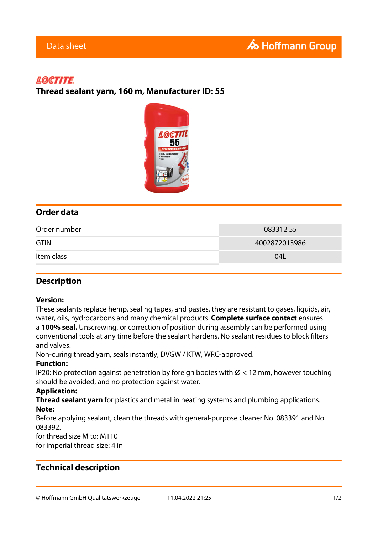# **LOCTITE**

**Thread sealant yarn, 160 m, Manufacturer ID: 55**



# **Order data**

| Order number | 08331255      |
|--------------|---------------|
| <b>GTIN</b>  | 4002872013986 |
| Item class   | 04L           |

## **Description**

#### **Version:**

These sealants replace hemp, sealing tapes, and pastes, they are resistant to gases, liquids, air, water, oils, hydrocarbons and many chemical products. **Complete surface contact** ensures a **100% seal.** Unscrewing, or correction of position during assembly can be performed using conventional tools at any time before the sealant hardens. No sealant residues to block filters and valves.

Non-curing thread yarn, seals instantly, DVGW / KTW, WRC-approved.

#### **Function:**

IP20: No protection against penetration by foreign bodies with  $\varnothing$  < 12 mm, however touching should be avoided, and no protection against water.

#### **Application:**

**Thread sealant yarn** for plastics and metal in heating systems and plumbing applications. **Note:**

Before applying sealant, clean the threads with general-purpose cleaner No. 083391 and No. 083392.

for thread size M to: M110

for imperial thread size: 4 in

## **Technical description**